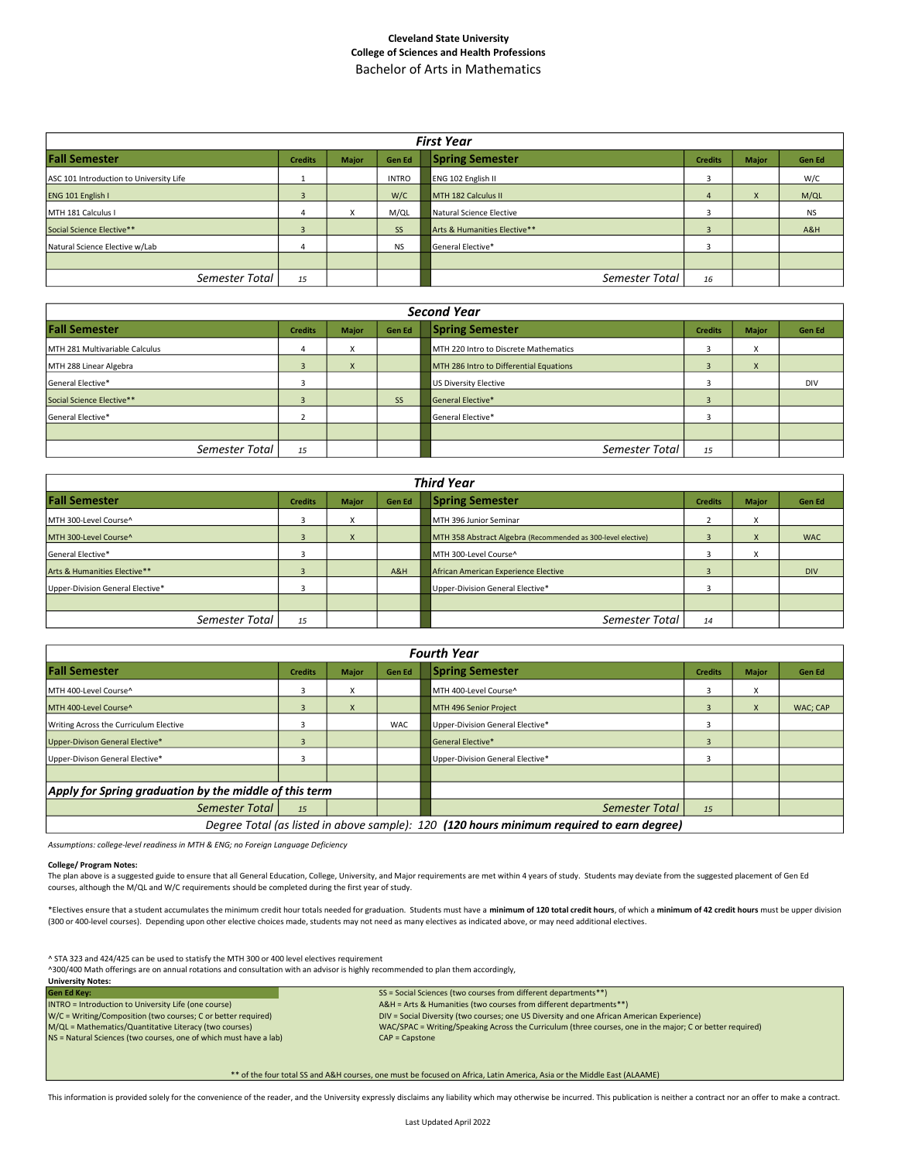## Cleveland State University College of Sciences and Health Professions Bachelor of Arts in Mathematics

| <b>First Year</b>                       |                |              |               |                              |                |              |           |  |  |
|-----------------------------------------|----------------|--------------|---------------|------------------------------|----------------|--------------|-----------|--|--|
| <b>Fall Semester</b>                    | <b>Credits</b> | <b>Major</b> | <b>Gen Ed</b> | <b>Spring Semester</b>       | <b>Credits</b> | <b>Major</b> | Gen Ed    |  |  |
| ASC 101 Introduction to University Life |                |              | <b>INTRO</b>  | <b>ENG 102 English II</b>    | з              |              | W/C       |  |  |
| ENG 101 English I                       |                |              | W/C           | MTH 182 Calculus II          | 4              | $\mathsf{X}$ | M/QL      |  |  |
| MTH 181 Calculus I                      | 4              | X            | M/QL          | Natural Science Elective     |                |              | <b>NS</b> |  |  |
| Social Science Elective**               | $\overline{3}$ |              | <b>SS</b>     | Arts & Humanities Elective** |                |              | A&H       |  |  |
| Natural Science Elective w/Lab          |                |              | <b>NS</b>     | General Elective*            |                |              |           |  |  |
|                                         |                |              |               |                              |                |              |           |  |  |
| Semester Total                          | 15             |              |               | Semester Total               | 16             |              |           |  |  |

| <b>Second Year</b>             |                |              |           |                                         |                |                           |               |  |
|--------------------------------|----------------|--------------|-----------|-----------------------------------------|----------------|---------------------------|---------------|--|
| <b>Fall Semester</b>           | <b>Credits</b> | <b>Major</b> | Gen Ed    | <b>Spring Semester</b>                  | <b>Credits</b> | <b>Major</b>              | <b>Gen Ed</b> |  |
| MTH 281 Multivariable Calculus | 4              | X            |           | MTH 220 Intro to Discrete Mathematics   |                | $\checkmark$<br>$\lambda$ |               |  |
| MTH 288 Linear Algebra         | -5             | X            |           | MTH 286 Intro to Differential Equations | $\overline{3}$ | $\lambda$                 |               |  |
| General Elective*              |                |              |           | US Diversity Elective                   |                |                           | <b>DIV</b>    |  |
| Social Science Elective**      |                |              | <b>SS</b> | General Elective*                       | э              |                           |               |  |
| General Elective*              |                |              |           | General Elective*                       |                |                           |               |  |
|                                |                |              |           |                                         |                |                           |               |  |
| Semester Total                 | 15             |              |           | Semester Total                          | 15             |                           |               |  |

| <b>Third Year</b>                |                |              |        |                                                              |                |                        |            |  |  |
|----------------------------------|----------------|--------------|--------|--------------------------------------------------------------|----------------|------------------------|------------|--|--|
| <b>Fall Semester</b>             | <b>Credits</b> | <b>Major</b> | Gen Ed | <b>Spring Semester</b>                                       | <b>Credits</b> | <b>Major</b>           | Gen Ed     |  |  |
| IMTH 300-Level Course^           |                | X            |        | MTH 396 Junior Seminar                                       |                | X                      |            |  |  |
| MTH 300-Level Course^            | 3              | $\mathsf{x}$ |        | MTH 358 Abstract Algebra (Recommended as 300-level elective) | 3              | $\mathsf{x}$           | <b>WAC</b> |  |  |
| General Elective*                |                |              |        | MTH 300-Level Course^                                        |                | $\lambda$<br>$\lambda$ |            |  |  |
| Arts & Humanities Elective**     |                |              | A&H    | African American Experience Elective                         |                |                        | <b>DIV</b> |  |  |
| Upper-Division General Elective* |                |              |        | Upper-Division General Elective*                             |                |                        |            |  |  |
|                                  |                |              |        |                                                              |                |                        |            |  |  |
| Semester Total                   | 15             |              |        | Semester Total                                               | 14             |                        |            |  |  |

|                                                        | <b>Fourth Year</b>                                                                        |              |               |                                  |                |              |          |  |  |  |
|--------------------------------------------------------|-------------------------------------------------------------------------------------------|--------------|---------------|----------------------------------|----------------|--------------|----------|--|--|--|
| <b>Fall Semester</b>                                   | <b>Credits</b>                                                                            | <b>Major</b> | <b>Gen Ed</b> | <b>Spring Semester</b>           | <b>Credits</b> | <b>Major</b> | Gen Ed   |  |  |  |
| MTH 400-Level Course^                                  | 5                                                                                         | X            |               | MTH 400-Level Course^            | 3              | X            |          |  |  |  |
| MTH 400-Level Course^                                  | 3                                                                                         | $\mathsf{x}$ |               | MTH 496 Senior Project           | $\mathbf{3}$   | $\mathsf{x}$ | WAC; CAP |  |  |  |
| Writing Across the Curriculum Elective                 |                                                                                           |              | <b>WAC</b>    | Upper-Division General Elective* | 3              |              |          |  |  |  |
| Upper-Divison General Elective*                        |                                                                                           |              |               | <b>General Elective*</b>         |                |              |          |  |  |  |
| Upper-Divison General Elective*                        |                                                                                           |              |               | Upper-Division General Elective* | 3              |              |          |  |  |  |
|                                                        |                                                                                           |              |               |                                  |                |              |          |  |  |  |
| Apply for Spring graduation by the middle of this term |                                                                                           |              |               |                                  |                |              |          |  |  |  |
| Semester Total                                         | 15                                                                                        |              |               | Semester Total                   | 15             |              |          |  |  |  |
|                                                        | Degree Total (as listed in above sample): 120 (120 hours minimum required to earn degree) |              |               |                                  |                |              |          |  |  |  |

Assumptions: college-level readiness in MTH & ENG; no Foreign Language Deficiency

## College/ Program Notes:

The plan above is a suggested guide to ensure that all General Education, College, University, and Major requirements are met within 4 years of study. Students may deviate from the suggested placement of Gen Ed courses, although the M/QL and W/C requirements should be completed during the first year of study.

\*Electives ensure that a student accumulates the minimum credit hour totals needed for graduation. Students must have a minimum of 120 total credit hours, of which a minimum of 42 credit hours must be upper division (300 or 400-level courses). Depending upon other elective choices made, students may not need as many electives as indicated above, or may need additional electives.

^ STA 323 and 424/425 can be used to statisfy the MTH 300 or 400 level electives requirement

^300/400 Math offerings are on annual rotations and consultation with an advisor is highly recommended to plan them accordingly, University Notes:

| <b>Gen Ed Kev:</b>                                                | SS = Social Sciences (two courses from different departments **)                                          |
|-------------------------------------------------------------------|-----------------------------------------------------------------------------------------------------------|
| INTRO = Introduction to University Life (one course)              | A&H = Arts & Humanities (two courses from different departments**)                                        |
| W/C = Writing/Composition (two courses; C or better required)     | DIV = Social Diversity (two courses; one US Diversity and one African American Experience)                |
| M/QL = Mathematics/Quantitative Literacy (two courses)            | WAC/SPAC = Writing/Speaking Across the Curriculum (three courses, one in the major; C or better required) |
| NS = Natural Sciences (two courses, one of which must have a lab) | $CAP = Capstone$                                                                                          |
|                                                                   |                                                                                                           |
|                                                                   |                                                                                                           |

\*\* of the four total SS and A&H courses, one must be focused on Africa, Latin America, Asia or the Middle East (ALAAME)

This information is provided solely for the convenience of the reader, and the University expressly disclaims any liability which may otherwise be incurred. This publication is neither a contract nor an offer to make a con